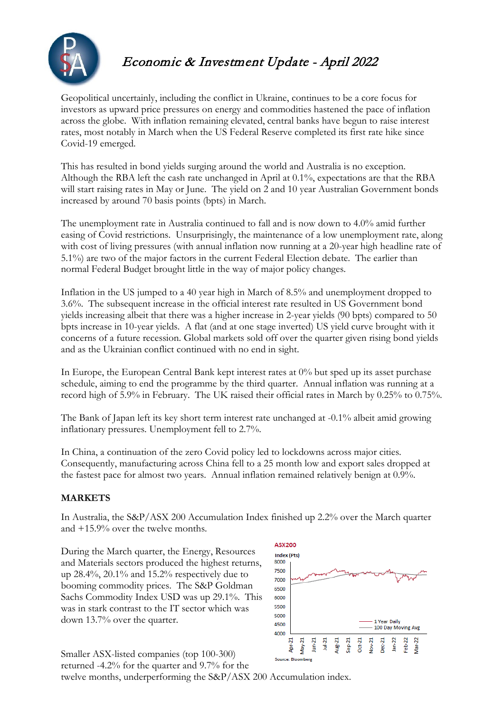

# Economic & Investment Update - April 2022

Geopolitical uncertainly, including the conflict in Ukraine, continues to be a core focus for investors as upward price pressures on energy and commodities hastened the pace of inflation across the globe. With inflation remaining elevated, central banks have begun to raise interest rates, most notably in March when the US Federal Reserve completed its first rate hike since Covid-19 emerged.

This has resulted in bond yields surging around the world and Australia is no exception. Although the RBA left the cash rate unchanged in April at 0.1%, expectations are that the RBA will start raising rates in May or June. The yield on 2 and 10 year Australian Government bonds increased by around 70 basis points (bpts) in March.

The unemployment rate in Australia continued to fall and is now down to 4.0% amid further easing of Covid restrictions. Unsurprisingly, the maintenance of a low unemployment rate, along with cost of living pressures (with annual inflation now running at a 20-year high headline rate of 5.1%) are two of the major factors in the current Federal Election debate. The earlier than normal Federal Budget brought little in the way of major policy changes.

Inflation in the US jumped to a 40 year high in March of 8.5% and unemployment dropped to 3.6%. The subsequent increase in the official interest rate resulted in US Government bond yields increasing albeit that there was a higher increase in 2-year yields (90 bpts) compared to 50 bpts increase in 10-year yields. A flat (and at one stage inverted) US yield curve brought with it concerns of a future recession. Global markets sold off over the quarter given rising bond yields and as the Ukrainian conflict continued with no end in sight.

In Europe, the European Central Bank kept interest rates at 0% but sped up its asset purchase schedule, aiming to end the programme by the third quarter. Annual inflation was running at a record high of 5.9% in February. The UK raised their official rates in March by 0.25% to 0.75%.

The Bank of Japan left its key short term interest rate unchanged at -0.1% albeit amid growing inflationary pressures. Unemployment fell to 2.7%.

In China, a continuation of the zero Covid policy led to lockdowns across major cities. Consequently, manufacturing across China fell to a 25 month low and export sales dropped at the fastest pace for almost two years. Annual inflation remained relatively benign at 0.9%.

#### **MARKETS**

In Australia, the S&P/ASX 200 Accumulation Index finished up 2.2% over the March quarter and +15.9% over the twelve months.

During the March quarter, the Energy, Resources and Materials sectors produced the highest returns, up 28.4%, 20.1% and 15.2% respectively due to booming commodity prices. The S&P Goldman Sachs Commodity Index USD was up 29.1%. This was in stark contrast to the IT sector which was down 13.7% over the quarter.



Smaller ASX-listed companies (top 100-300) Source: Bloor returned -4.2% for the quarter and 9.7% for the twelve months, underperforming the S&P/ASX 200 Accumulation index.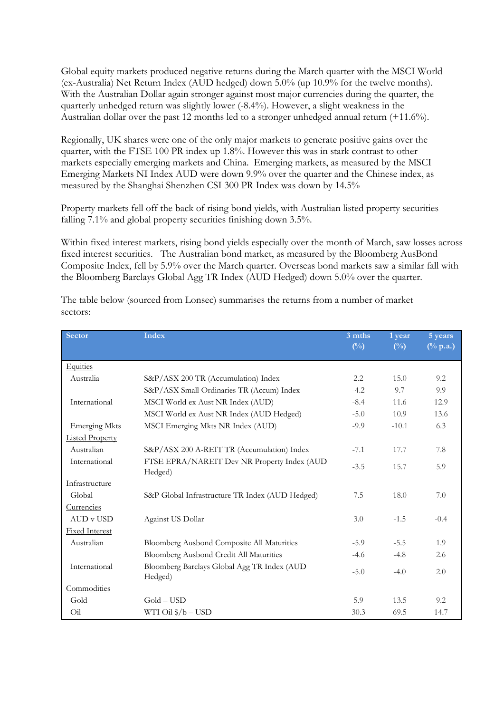Global equity markets produced negative returns during the March quarter with the MSCI World (ex-Australia) Net Return Index (AUD hedged) down 5.0% (up 10.9% for the twelve months). With the Australian Dollar again stronger against most major currencies during the quarter, the quarterly unhedged return was slightly lower (-8.4%). However, a slight weakness in the Australian dollar over the past 12 months led to a stronger unhedged annual return (+11.6%).

Regionally, UK shares were one of the only major markets to generate positive gains over the quarter, with the FTSE 100 PR index up 1.8%. However this was in stark contrast to other markets especially emerging markets and China. Emerging markets, as measured by the MSCI Emerging Markets NI Index AUD were down 9.9% over the quarter and the Chinese index, as measured by the Shanghai Shenzhen CSI 300 PR Index was down by 14.5%

Property markets fell off the back of rising bond yields, with Australian listed property securities falling 7.1% and global property securities finishing down 3.5%.

Within fixed interest markets, rising bond yields especially over the month of March, saw losses across fixed interest securities. The Australian bond market, as measured by the Bloomberg AusBond Composite Index, fell by 5.9% over the March quarter. Overseas bond markets saw a similar fall with the Bloomberg Barclays Global Agg TR Index (AUD Hedged) down 5.0% over the quarter.

| Sector                 | <b>Index</b>                                           | 3 mths<br>$(^{0}/_{0})$ | 1 year<br>$(\frac{0}{0})$ | 5 years<br>$(^{0}\!/_{0}$ p.a.) |
|------------------------|--------------------------------------------------------|-------------------------|---------------------------|---------------------------------|
|                        |                                                        |                         |                           |                                 |
| Equities               |                                                        |                         |                           |                                 |
| Australia              | S&P/ASX 200 TR (Accumulation) Index                    | 2.2                     | 15.0                      | 9.2                             |
|                        | S&P/ASX Small Ordinaries TR (Accum) Index              | $-4.2$                  | 9.7                       | 9.9                             |
| International          | MSCI World ex Aust NR Index (AUD)                      | $-8.4$                  | 11.6                      | 12.9                            |
|                        | MSCI World ex Aust NR Index (AUD Hedged)               | $-5.0$                  | 10.9                      | 13.6                            |
| <b>Emerging Mkts</b>   | MSCI Emerging Mkts NR Index (AUD)                      | $-9.9$                  | $-10.1$                   | 6.3                             |
| <b>Listed Property</b> |                                                        |                         |                           |                                 |
| Australian             | S&P/ASX 200 A-REIT TR (Accumulation) Index             | $-7.1$                  | 17.7                      | 7.8                             |
| International          | FTSE EPRA/NAREIT Dev NR Property Index (AUD<br>Hedged) | $-3.5$                  | 15.7                      | 5.9                             |
| Infrastructure         |                                                        |                         |                           |                                 |
| Global                 | S&P Global Infrastructure TR Index (AUD Hedged)        | 7.5                     | 18.0                      | 7.0                             |
| Currencies             |                                                        |                         |                           |                                 |
| <b>AUD v USD</b>       | Against US Dollar                                      | 3.0                     | $-1.5$                    | $-0.4$                          |
| <b>Fixed Interest</b>  |                                                        |                         |                           |                                 |
| Australian             | Bloomberg Ausbond Composite All Maturities             | $-5.9$                  | $-5.5$                    | 1.9                             |
|                        | Bloomberg Ausbond Credit All Maturities                | $-4.6$                  | $-4.8$                    | 2.6                             |
| International          | Bloomberg Barclays Global Agg TR Index (AUD<br>Hedged) | $-5.0$                  | $-4.0$                    | 2.0                             |
| Commodities            |                                                        |                         |                           |                                 |
| Gold                   | $Gold - USD$                                           | 5.9                     | 13.5                      | 9.2                             |
| Oil                    | WTI Oil $\$/b$ – USD                                   | 30.3                    | 69.5                      | 14.7                            |

The table below (sourced from Lonsec) summarises the returns from a number of market sectors: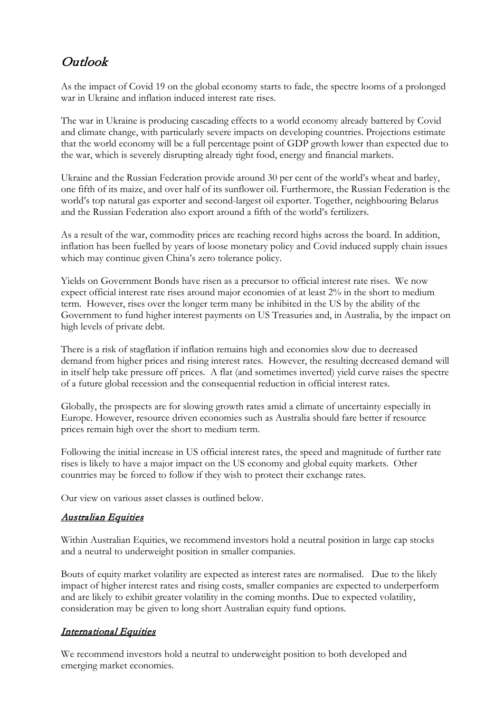## Outlook

As the impact of Covid 19 on the global economy starts to fade, the spectre looms of a prolonged war in Ukraine and inflation induced interest rate rises.

The war in Ukraine is producing cascading effects to a world economy already battered by Covid and climate change, with particularly severe impacts on developing countries. Projections estimate that the world economy will be a full percentage point of GDP growth lower than expected due to the war, which is severely disrupting already tight food, energy and financial markets.

Ukraine and the Russian Federation provide around 30 per cent of the world's wheat and barley, one fifth of its maize, and over half of its sunflower oil. Furthermore, the Russian Federation is the world's top natural gas exporter and second-largest oil exporter. Together, neighbouring Belarus and the Russian Federation also export around a fifth of the world's fertilizers.

As a result of the war, commodity prices are reaching record highs across the board. In addition, inflation has been fuelled by years of loose monetary policy and Covid induced supply chain issues which may continue given China's zero tolerance policy.

Yields on Government Bonds have risen as a precursor to official interest rate rises. We now expect official interest rate rises around major economies of at least 2% in the short to medium term. However, rises over the longer term many be inhibited in the US by the ability of the Government to fund higher interest payments on US Treasuries and, in Australia, by the impact on high levels of private debt.

There is a risk of stagflation if inflation remains high and economies slow due to decreased demand from higher prices and rising interest rates. However, the resulting decreased demand will in itself help take pressure off prices. A flat (and sometimes inverted) yield curve raises the spectre of a future global recession and the consequential reduction in official interest rates.

Globally, the prospects are for slowing growth rates amid a climate of uncertainty especially in Europe. However, resource driven economies such as Australia should fare better if resource prices remain high over the short to medium term.

Following the initial increase in US official interest rates, the speed and magnitude of further rate rises is likely to have a major impact on the US economy and global equity markets. Other countries may be forced to follow if they wish to protect their exchange rates.

Our view on various asset classes is outlined below.

#### Australian Equities

Within Australian Equities, we recommend investors hold a neutral position in large cap stocks and a neutral to underweight position in smaller companies.

Bouts of equity market volatility are expected as interest rates are normalised. Due to the likely impact of higher interest rates and rising costs, smaller companies are expected to underperform and are likely to exhibit greater volatility in the coming months. Due to expected volatility, consideration may be given to long short Australian equity fund options.

#### International Equities

We recommend investors hold a neutral to underweight position to both developed and emerging market economies.